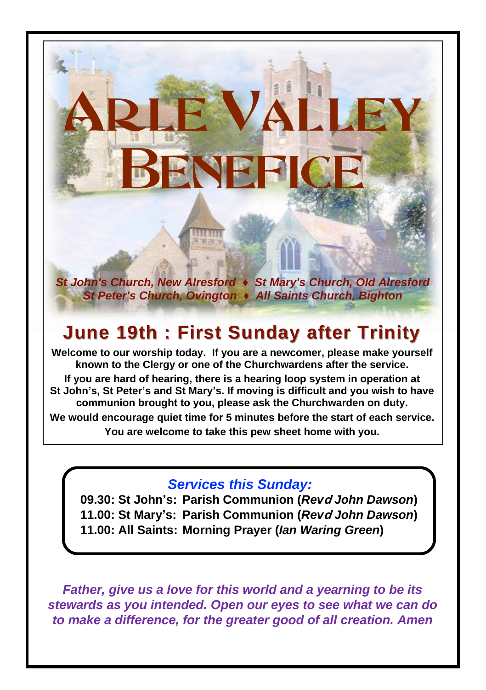*St John's Church, New Alresford ♦ St Mary's Church, Old Alresford St Peter's Church, Ovington ♦ All Saints Church, Bighton*

BENEFIC

E VALL

# **June 19th : First Sunday after Trinity**

**Welcome to our worship today. If you are a newcomer, please make yourself known to the Clergy or one of the Churchwardens after the service. If you are hard of hearing, there is a hearing loop system in operation at St John's, St Peter's and St Mary's. If moving is difficult and you wish to have communion brought to you, please ask the Churchwarden on duty. We would encourage quiet time for 5 minutes before the start of each service. You are welcome to take this pew sheet home with you.**

### *Services this Sunday:*

**09.30: St John's: Parish Communion (***Rev***d** *John Dawson***) 11.00: St Mary's: Parish Communion (***Rev***d** *John Dawson***) 11.00: All Saints: Morning Prayer (***Ian Waring Green***)**

*Father, give us a love for this world and a yearning to be its stewards as you intended. Open our eyes to see what we can do to make a difference, for the greater good of all creation. Amen*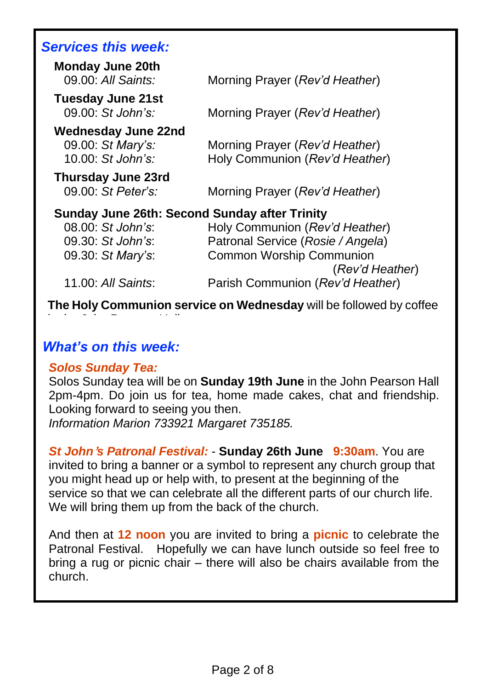## *Services this week:*

| <b>Monday June 20th</b><br>09.00: All Saints:        | Morning Prayer (Rev'd Heather)    |
|------------------------------------------------------|-----------------------------------|
| <b>Tuesday June 21st</b><br>$09.00:$ St John's:      |                                   |
|                                                      | Morning Prayer (Rev'd Heather)    |
| <b>Wednesday June 22nd</b><br>09.00: St Mary's:      | Morning Prayer (Rev'd Heather)    |
| $10.00:$ St John's:                                  | Holy Communion (Rev'd Heather)    |
| <b>Thursday June 23rd</b>                            |                                   |
| $09.00$ : St Peter's:                                | Morning Prayer (Rev'd Heather)    |
| <b>Sunday June 26th: Second Sunday after Trinity</b> |                                   |
| 08.00: St John's:                                    | Holy Communion (Rev'd Heather)    |
| 09.30: St John's:                                    | Patronal Service (Rosie / Angela) |
| 09.30: St Mary's:                                    | <b>Common Worship Communion</b>   |
|                                                      | (Rev'd Heather)                   |
| 11.00: All Saints:                                   | Parish Communion (Rev'd Heather)  |
|                                                      |                                   |

**The Holy Communion service on Wednesday** will be followed by coffee

### *What's on this week:*

in the John Pearson Hall.

### *Solos Sunday Tea:*

Solos Sunday tea will be on **Sunday 19th June** in the John Pearson Hall 2pm-4pm. Do join us for tea, home made cakes, chat and friendship. Looking forward to seeing you then.

*Information Marion 733921 Margaret 735185.*

*St John***'***s Patronal Festival:* - **Sunday 26th June 9:30am**. You are invited to bring a banner or a symbol to represent any church group that you might head up or help with, to present at the beginning of the service so that we can celebrate all the different parts of our church life. We will bring them up from the back of the church.

And then at **12 noon** you are invited to bring a **picnic** to celebrate the Patronal Festival. Hopefully we can have lunch outside so feel free to bring a rug or picnic chair – there will also be chairs available from the church.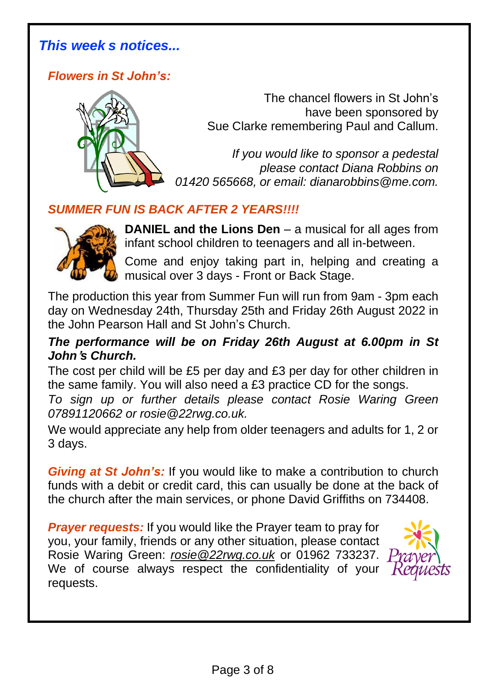### *This week s notices...*

*Flowers in St John's:*



The chancel flowers in St John's have been sponsored by Sue Clarke remembering Paul and Callum.

*If you would like to sponsor a pedestal please contact Diana Robbins on 01420 565668, or email: dianarobbins@me.com.*

### *SUMMER FUN IS BACK AFTER 2 YEARS!!!!*



**DANIEL and the Lions Den** – a musical for all ages from infant school children to teenagers and all in-between.

Come and enjoy taking part in, helping and creating a musical over 3 days - Front or Back Stage.

The production this year from Summer Fun will run from 9am - 3pm each day on Wednesday 24th, Thursday 25th and Friday 26th August 2022 in the John Pearson Hall and St John's Church.

### *The performance will be on Friday 26th August at 6.00pm in St John***'***s Church.*

The cost per child will be £5 per day and £3 per day for other children in the same family. You will also need a £3 practice CD for the songs.

*To sign up or further details please contact Rosie Waring Green 07891120662 or rosie@22rwg.co.uk.*

We would appreciate any help from older teenagers and adults for 1, 2 or 3 days.

*Giving at St John's:* If you would like to make a contribution to church funds with a debit or credit card, this can usually be done at the back of the church after the main services, or phone David Griffiths on 734408.

*Prayer requests:* If you would like the Prayer team to pray for you, your family, friends or any other situation, please contact Rosie Waring Green: *[rosie@22rwg.co.uk](mailto:rosie@22rwg.co.uk)* or 01962 733237. We of course always respect the confidentiality of your requests.

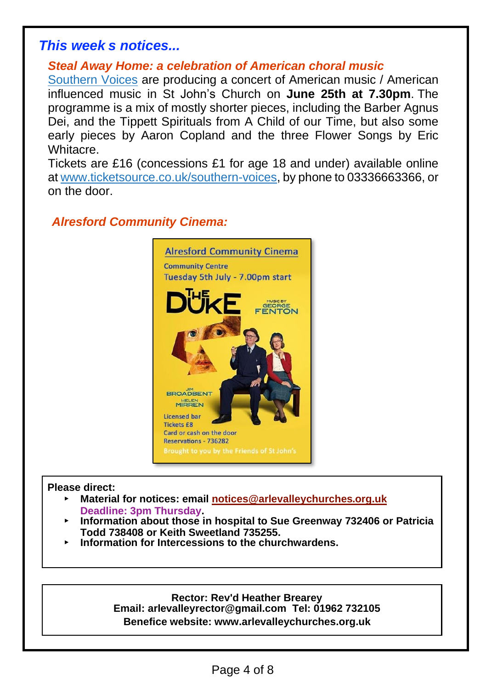### *This week s notices...*

### *Steal Away Home: a celebration of American choral music*

[Southern](https://www.southernvoices.co.uk/) Voices are producing a concert of American music / American influenced music in St John's Church on **June 25th at 7.30pm**. The programme is a mix of mostly shorter pieces, including the Barber Agnus Dei, and the Tippett Spirituals from A Child of our Time, but also some early pieces by Aaron Copland and the three Flower Songs by Eric Whitacre.

Tickets are £16 (concessions £1 for age 18 and under) available online at [www.ticketsource.co.uk/southern-voices,](http://www.ticketsource.co.uk/southern-voices) by phone to 03336663366, or on the door.

### *Alresford Community Cinema:*



#### **Please direct:**

- ▸ **Material for notices: email [notices@arlevalleychurches.org.uk](mailto:notices@arlevalleychurches.org.uk) Deadline: 3pm Thursday.**
- ▸ **Information about those in hospital to Sue Greenway 732406 or Patricia Todd 738408 or Keith Sweetland 735255.**
- ▸ **Information for Intercessions to the churchwardens.**

#### **Rector: Rev'd Heather Brearey**

**Email: arlevalleyrector@gmail.com Tel: 01962 732105 Benefice website: www.arlevalleychurches.org.uk**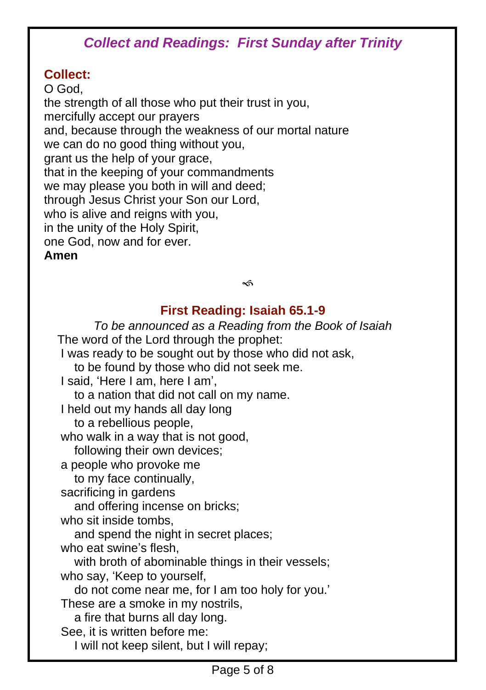# *Collect and Readings: First Sunday after Trinity*

### **Collect:**

O God, the strength of all those who put their trust in you, mercifully accept our prayers and, because through the weakness of our mortal nature we can do no good thing without you, grant us the help of your grace, that in the keeping of your commandments we may please you both in will and deed; through Jesus Christ your Son our Lord, who is alive and reigns with you, in the unity of the Holy Spirit, one God, now and for ever. **Amen**

 $\preccurlyeq$ 

### **First Reading: Isaiah 65.1-9**

*To be announced as a Reading from the Book of Isaiah* The word of the Lord through the prophet: I was ready to be sought out by those who did not ask, to be found by those who did not seek me. I said, 'Here I am, here I am', to a nation that did not call on my name. I held out my hands all day long to a rebellious people, who walk in a way that is not good. following their own devices; a people who provoke me to my face continually, sacrificing in gardens and offering incense on bricks; who sit inside tombs, and spend the night in secret places; who eat swine's flesh, with broth of abominable things in their vessels; who say, 'Keep to yourself, do not come near me, for I am too holy for you.' These are a smoke in my nostrils, a fire that burns all day long. See, it is written before me: I will not keep silent, but I will repay;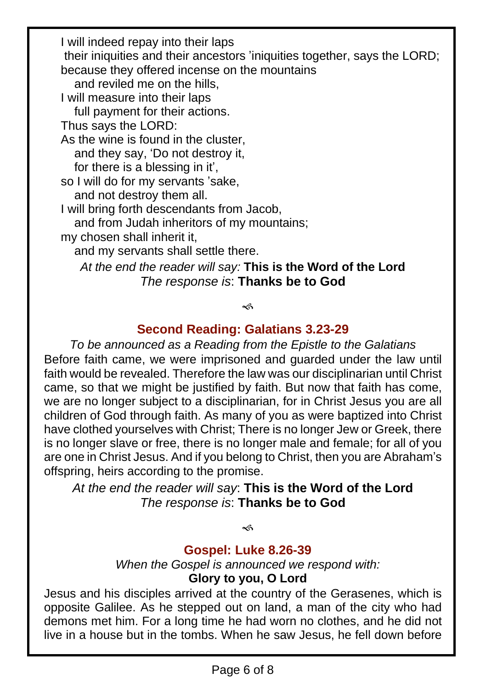I will indeed repay into their laps their iniquities and their ancestors 'iniquities together, says the LORD; because they offered incense on the mountains and reviled me on the hills, I will measure into their laps full payment for their actions. Thus says the LORD: As the wine is found in the cluster, and they say, 'Do not destroy it, for there is a blessing in it', so I will do for my servants 'sake, and not destroy them all. I will bring forth descendants from Jacob, and from Judah inheritors of my mountains; my chosen shall inherit it, and my servants shall settle there. *At the end the reader will say:* **This is the Word of the Lord** *The response is*: **Thanks be to God**

<€

### **Second Reading: Galatians 3.23-29**

*To be announced as a Reading from the Epistle to the Galatians* Before faith came, we were imprisoned and guarded under the law until faith would be revealed. Therefore the law was our disciplinarian until Christ came, so that we might be justified by faith. But now that faith has come, we are no longer subject to a disciplinarian, for in Christ Jesus you are all children of God through faith. As many of you as were baptized into Christ have clothed yourselves with Christ; There is no longer Jew or Greek, there is no longer slave or free, there is no longer male and female; for all of you are one in Christ Jesus. And if you belong to Christ, then you are Abraham's offspring, heirs according to the promise.

*At the end the reader will say*: **This is the Word of the Lord** *The response is*: **Thanks be to God**

چە

### **Gospel: Luke 8.26-39**

*When the Gospel is announced we respond with:* **Glory to you, O Lord**

Jesus and his disciples arrived at the country of the Gerasenes, which is opposite Galilee. As he stepped out on land, a man of the city who had demons met him. For a long time he had worn no clothes, and he did not live in a house but in the tombs. When he saw Jesus, he fell down before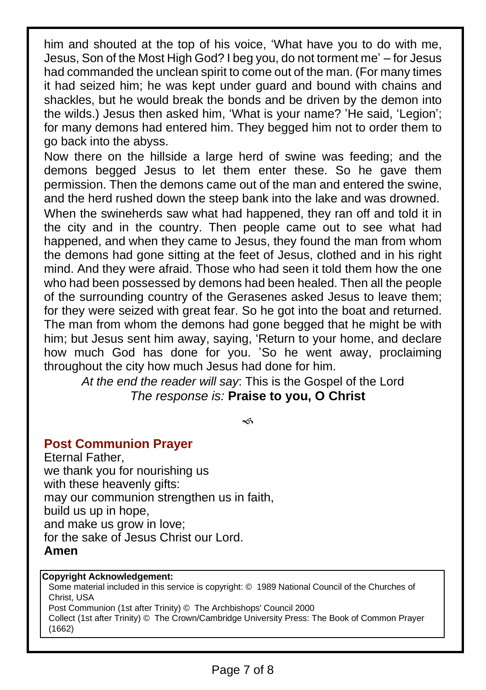him and shouted at the top of his voice, 'What have you to do with me, Jesus, Son of the Most High God? I beg you, do not torment me' – for Jesus had commanded the unclean spirit to come out of the man. (For many times it had seized him; he was kept under guard and bound with chains and shackles, but he would break the bonds and be driven by the demon into the wilds.) Jesus then asked him, 'What is your name? 'He said, 'Legion'; for many demons had entered him. They begged him not to order them to go back into the abyss.

Now there on the hillside a large herd of swine was feeding; and the demons begged Jesus to let them enter these. So he gave them permission. Then the demons came out of the man and entered the swine, and the herd rushed down the steep bank into the lake and was drowned. When the swineherds saw what had happened, they ran off and told it in the city and in the country. Then people came out to see what had happened, and when they came to Jesus, they found the man from whom the demons had gone sitting at the feet of Jesus, clothed and in his right mind. And they were afraid. Those who had seen it told them how the one who had been possessed by demons had been healed. Then all the people of the surrounding country of the Gerasenes asked Jesus to leave them; for they were seized with great fear. So he got into the boat and returned. The man from whom the demons had gone begged that he might be with him; but Jesus sent him away, saying, 'Return to your home, and declare how much God has done for you. 'So he went away, proclaiming throughout the city how much Jesus had done for him.

*At the end the reader will say*: This is the Gospel of the Lord *The response is:* **Praise to you, O Christ**

حہ

### **Post Communion Prayer**

Eternal Father, we thank you for nourishing us with these heavenly gifts: may our communion strengthen us in faith, build us up in hope, and make us grow in love; for the sake of Jesus Christ our Lord. **Amen**

#### **Copyright Acknowledgement:**

Some material included in this service is copyright: © 1989 National Council of the Churches of Christ, USA Post Communion (1st after Trinity) © The Archbishops' Council 2000 Collect (1st after Trinity) © The Crown/Cambridge University Press: The Book of Common Prayer (1662)